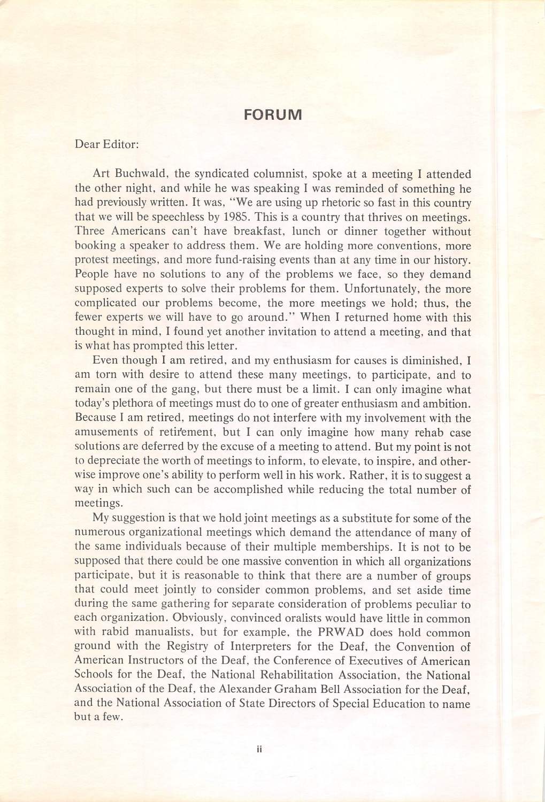## FORUM

## Dear Editor:

Art Buchwald, the syndicated columnist, spoke at a meeting I attended the other night, and while he was speaking I was reminded of something he had previously written. It was, "We are using up rhetoric so fast in this country that we will be speechless by 1985. This is a country that thrives on meetings. Three Americans can't have breakfast, lunch or dinner together without booking a speaker to address them. We are holding more conventions, more protest meetings, and more fund-raising events than at any time in our history. People have no solutions to any of the problems we face, so they demand supposed experts to solve their problems for them. Unfortunately, the more complicated our problems become, the more meetings we hold; thus, the fewer experts we will have to go around." When I returned home with this thought in mind, I found yet another invitation to attend a meeting, and that is what has prompted this letter.

Even though I am retired, and my enthusiasm for causes is diminished, I am torn with desire to attend these many meetings, to participate, and to remain one of the gang, but there must be a limit. I can only imagine what today's plethora of meetings must do to one of greater enthusiasm and ambition. Because I am retired, meetings do not interfere with my involvement with the amusements of retirement, but I can only imagine how many rehab case solutions are deferred by the excuse of a meeting to attend. But my point is not to depreciate the worth of meetings to inform, to elevate, to inspire, and other wise improve one's ability to perform well in his work. Rather, it is to suggest a way in which such can be accomplished while reducing the total number of meetings.

My suggestion is that we hold joint meetings as a substitute for some of the numerous organizational meetings which demand the attendance of many of the same individuals because of their multiple memberships. It is not to be supposed that there could be one massive convention in which all organizations participate, but it is reasonable to think that there are a number of groups that could meet jointly to consider common problems, and set aside time during the same gathering for separate consideration of problems peculiar to each organization. Obviously, convinced oralists would have little in common with rabid manualists, but for example, the PRWAD does hold common ground with the Registry of Interpreters for the Deaf, the Convention of American Instructors of the Deaf, the Conference of Executives of American Schools for the Deaf, the National Rehabilitation Association, the National Association of the Deaf, the Alexander Graham Bell Association for the Deaf, and the National Association of State Directors of Special Education to name but a few.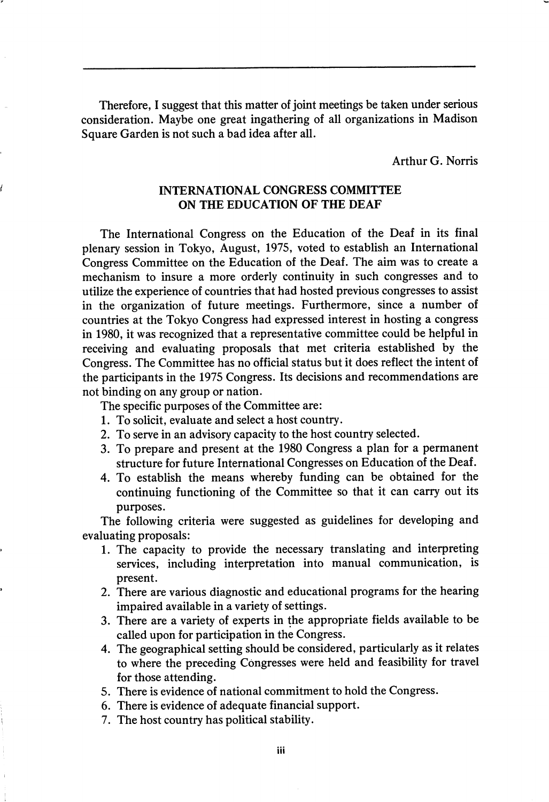Therefore, I suggest that this matter of joint meetings be taken under serious consideration. Maybe one great ingathering of all organizations in Madison Square Garden is not such a bad idea after all.

Arthur G. Norris

## INTERNATIONAL CONGRESS COMMITTEE ON THE EDUCATION OF THE DEAF

The International Congress on the Education of the Deaf in its final plenary session in Tokyo, August, 1975, voted to establish an International Congress Committee on the Education of the Deaf. The aim was to create a mechanism to insure a more orderly continuity in such congresses and to utilize the experience of countries that had hosted previous congresses to assist in the organization of future meetings. Furthermore, since a number of countries at the Tokyo Congress had expressed interest in hosting a congress in 1980, it was recognized that a representative committee could be helpful in receiving and evaluating proposals that met criteria established by the Congress. The Committee has no official status but it does reflect the intent of the participants in the 1975 Congress. Its decisions and recommendations are not binding on any group or nation.

The specific purposes of the Committee are:

- 1. To solicit, evaluate and select a host country.
- 2. To serve in an advisory capacity to the host country selected.
- 3. To prepare and present at the 1980 Congress a plan for a permanent structure for future International Congresses on Education of the Deaf.
- 4. To establish the means whereby funding can be obtained for the continuing functioning of the Committee so that it can carry out its purposes.

The following criteria were suggested as guidelines for developing and evaluating proposals:

- 1. The capacity to provide the necessary translating and interpreting services, including interpretation into manual communication, is present.
- 2. There are various diagnostic and educational programs for the hearing impaired available in a variety of settings.
- 3. There are a variety of experts in the appropriate fields available to be called upon for participation in the Congress.
- 4. The geographical setting should be considered, particularly as it relates to where the preceding Congresses were held and feasibility for travel for those attending.
- 5. There is evidence of national commitment to hold the Congress.
- 6. There is evidence of adequate financial support.
- 7. The host country has political stability.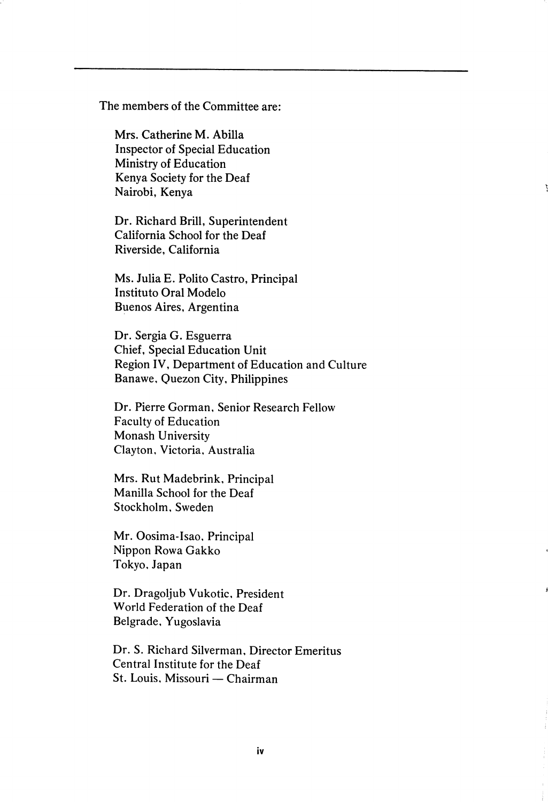The members of the Committee are:

Mrs. Catherine M. Abilla Inspector of Special Education Ministry of Education Kenya Society for the Deaf Nairobi, Kenya

Dr. Richard Brill, Superintendent California School for the Deaf Riverside, California

Ms. Julia E. Polito Castro, Principal Institute Oral Modelo Buenos Aires, Argentina

Dr. Sergia G. Esguerra Chief, Special Education Unit Region IV, Department of Education and Culture Banawe, Quezon City. Philippines

Dr. Pierre Gorman, Senior Research Fellow Faculty of Education Monash University Clayton, Victoria, Australia

Mrs. Rut Madebrink, Principal Manilla School for the Deaf Stockholm. Sweden

Mr. Oosima-Isao, Principal Nippon Rowa Gakko Tokyo, Japan

Dr. Dragoljub Vukotic, President World Federation of the Deaf Belgrade. Yugoslavia

Dr. S. Richard Silverman, Director Emeritus Central Institute for the Deaf St. Louis. Missouri — Chairman